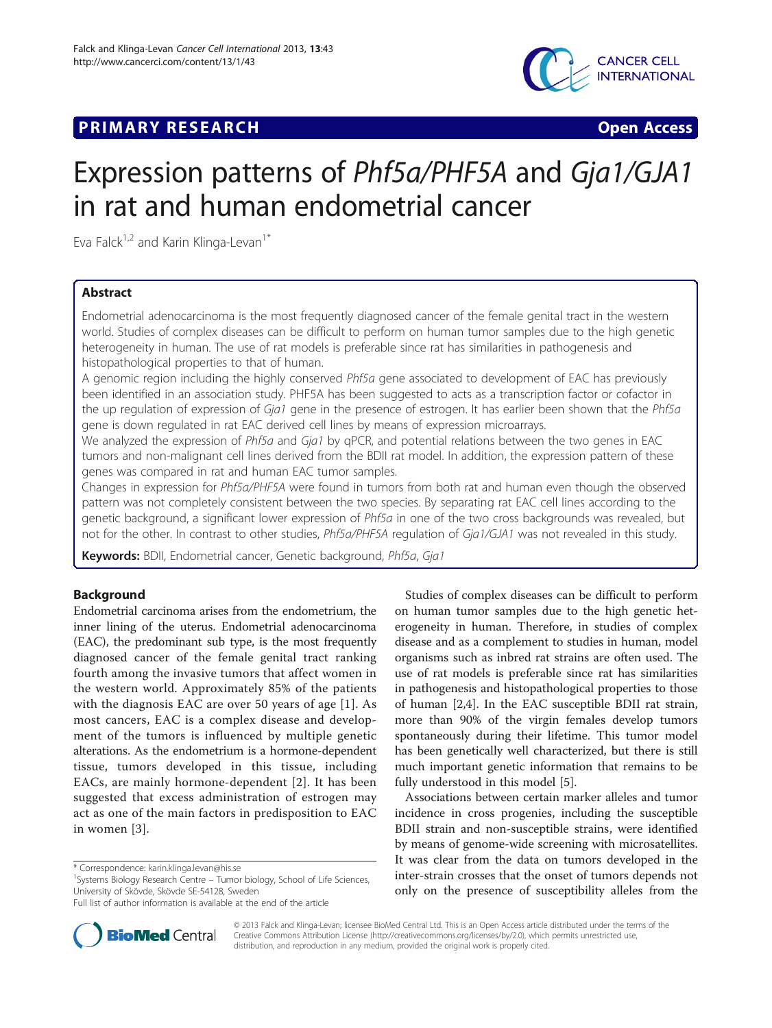



# Expression patterns of Phf5a/PHF5A and Gja1/GJA1 in rat and human endometrial cancer

Eva Falck $1,2$  and Karin Klinga-Levan<sup>1\*</sup>

# Abstract

Endometrial adenocarcinoma is the most frequently diagnosed cancer of the female genital tract in the western world. Studies of complex diseases can be difficult to perform on human tumor samples due to the high genetic heterogeneity in human. The use of rat models is preferable since rat has similarities in pathogenesis and histopathological properties to that of human.

A genomic region including the highly conserved Phf5a gene associated to development of EAC has previously been identified in an association study. PHF5A has been suggested to acts as a transcription factor or cofactor in the up regulation of expression of Gja1 gene in the presence of estrogen. It has earlier been shown that the Phf5a gene is down regulated in rat EAC derived cell lines by means of expression microarrays.

We analyzed the expression of Phf5a and Gja1 by qPCR, and potential relations between the two genes in EAC tumors and non-malignant cell lines derived from the BDII rat model. In addition, the expression pattern of these genes was compared in rat and human EAC tumor samples.

Changes in expression for Phf5a/PHF5A were found in tumors from both rat and human even though the observed pattern was not completely consistent between the two species. By separating rat EAC cell lines according to the genetic background, a significant lower expression of Phf5a in one of the two cross backgrounds was revealed, but not for the other. In contrast to other studies, Phf5a/PHF5A regulation of Gja1/GJA1 was not revealed in this study.

Keywords: BDII, Endometrial cancer, Genetic background, Phf5a, Gja1

# Background

Endometrial carcinoma arises from the endometrium, the inner lining of the uterus. Endometrial adenocarcinoma (EAC), the predominant sub type, is the most frequently diagnosed cancer of the female genital tract ranking fourth among the invasive tumors that affect women in the western world. Approximately 85% of the patients with the diagnosis EAC are over 50 years of age [[1\]](#page-5-0). As most cancers, EAC is a complex disease and development of the tumors is influenced by multiple genetic alterations. As the endometrium is a hormone-dependent tissue, tumors developed in this tissue, including EACs, are mainly hormone-dependent [[2\]](#page-5-0). It has been suggested that excess administration of estrogen may act as one of the main factors in predisposition to EAC in women [[3\]](#page-5-0).

<sup>1</sup> Systems Biology Research Centre – Tumor biology, School of Life Sciences, University of Skövde, Skövde SE-54128, Sweden



Associations between certain marker alleles and tumor incidence in cross progenies, including the susceptible BDII strain and non-susceptible strains, were identified by means of genome-wide screening with microsatellites. It was clear from the data on tumors developed in the inter-strain crosses that the onset of tumors depends not only on the presence of susceptibility alleles from the



© 2013 Falck and Klinga-Levan; licensee BioMed Central Ltd. This is an Open Access article distributed under the terms of the Creative Commons Attribution License (<http://creativecommons.org/licenses/by/2.0>), which permits unrestricted use, distribution, and reproduction in any medium, provided the original work is properly cited.

<sup>\*</sup> Correspondence: [karin.klinga.levan@his.se](mailto:karin.klinga.levan@his.se) <sup>1</sup>

Full list of author information is available at the end of the article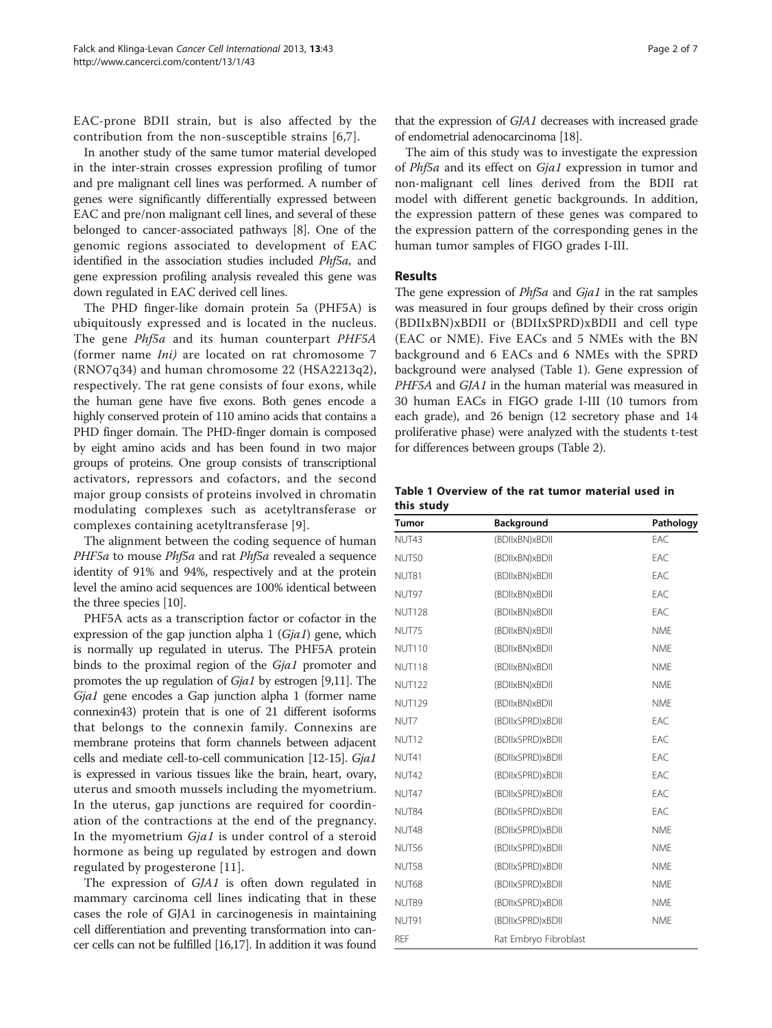<span id="page-1-0"></span>EAC-prone BDII strain, but is also affected by the contribution from the non-susceptible strains [[6,7](#page-5-0)].

In another study of the same tumor material developed in the inter-strain crosses expression profiling of tumor and pre malignant cell lines was performed. A number of genes were significantly differentially expressed between EAC and pre/non malignant cell lines, and several of these belonged to cancer-associated pathways [\[8\]](#page-5-0). One of the genomic regions associated to development of EAC identified in the association studies included Phf5a, and gene expression profiling analysis revealed this gene was down regulated in EAC derived cell lines.

The PHD finger-like domain protein 5a (PHF5A) is ubiquitously expressed and is located in the nucleus. The gene *Phf5a* and its human counterpart *PHF5A* (former name Ini) are located on rat chromosome 7 (RNO7q34) and human chromosome 22 (HSA2213q2), respectively. The rat gene consists of four exons, while the human gene have five exons. Both genes encode a highly conserved protein of 110 amino acids that contains a PHD finger domain. The PHD-finger domain is composed by eight amino acids and has been found in two major groups of proteins. One group consists of transcriptional activators, repressors and cofactors, and the second major group consists of proteins involved in chromatin modulating complexes such as acetyltransferase or complexes containing acetyltransferase [\[9](#page-5-0)].

The alignment between the coding sequence of human PHF5a to mouse Phf5a and rat Phf5a revealed a sequence identity of 91% and 94%, respectively and at the protein level the amino acid sequences are 100% identical between the three species [[10\]](#page-5-0).

PHF5A acts as a transcription factor or cofactor in the expression of the gap junction alpha  $1$  (Gja1) gene, which is normally up regulated in uterus. The PHF5A protein binds to the proximal region of the Gja1 promoter and promotes the up regulation of Gja1 by estrogen [[9,11\]](#page-5-0). The Gja1 gene encodes a Gap junction alpha 1 (former name connexin43) protein that is one of 21 different isoforms that belongs to the connexin family. Connexins are membrane proteins that form channels between adjacent cells and mediate cell-to-cell communication [\[12](#page-6-0)-[15](#page-6-0)]. Gja1 is expressed in various tissues like the brain, heart, ovary, uterus and smooth mussels including the myometrium. In the uterus, gap junctions are required for coordination of the contractions at the end of the pregnancy. In the myometrium Gja1 is under control of a steroid hormone as being up regulated by estrogen and down regulated by progesterone [[11\]](#page-5-0).

The expression of GJA1 is often down regulated in mammary carcinoma cell lines indicating that in these cases the role of GJA1 in carcinogenesis in maintaining cell differentiation and preventing transformation into cancer cells can not be fulfilled [[16,17](#page-6-0)]. In addition it was found

that the expression of GJA1 decreases with increased grade of endometrial adenocarcinoma [[18](#page-6-0)].

The aim of this study was to investigate the expression of Phf5a and its effect on Gja1 expression in tumor and non-malignant cell lines derived from the BDII rat model with different genetic backgrounds. In addition, the expression pattern of these genes was compared to the expression pattern of the corresponding genes in the human tumor samples of FIGO grades I-III.

# Results

The gene expression of *Phf5a* and *Gja1* in the rat samples was measured in four groups defined by their cross origin (BDIIxBN)xBDII or (BDIIxSPRD)xBDII and cell type (EAC or NME). Five EACs and 5 NMEs with the BN background and 6 EACs and 6 NMEs with the SPRD background were analysed (Table 1). Gene expression of PHF5A and GJA1 in the human material was measured in 30 human EACs in FIGO grade I-III (10 tumors from each grade), and 26 benign (12 secretory phase and 14 proliferative phase) were analyzed with the students t-test for differences between groups (Table [2](#page-2-0)).

Table 1 Overview of the rat tumor material used in this study

| <b>Tumor</b>      | Background            |            |  |  |
|-------------------|-----------------------|------------|--|--|
| NUT43             | (BDIIxBN)xBDII        | EAC        |  |  |
| NUT50             | (BDIIxBN)xBDII        | EAC        |  |  |
| NUT81             | (BDIIxBN)xBDII        | FAC.       |  |  |
| NUT97             | (BDIIxBN)xBDII        | EAC        |  |  |
| <b>NUT128</b>     | (BDIIxBN)xBDII        | FAC.       |  |  |
| NUT75             | (BDIIxBN)xBDII        | <b>NMF</b> |  |  |
| <b>NUT110</b>     | (BDIIxBN)xBDII        | <b>NME</b> |  |  |
| <b>NUT118</b>     | (BDIIxBN)xBDII        | <b>NMF</b> |  |  |
| <b>NUT122</b>     | (BDIIxBN)xBDII        | <b>NME</b> |  |  |
| <b>NUT129</b>     | (BDIIxBN)xBDII        | <b>NME</b> |  |  |
| NUT7              | (BDIIxSPRD)xBDII      | FAC.       |  |  |
| NUT <sub>12</sub> | (BDIIxSPRD)xBDII      | EAC        |  |  |
| NUT41             | (BDIIxSPRD)xBDII      | EAC        |  |  |
| NUT42             | (BDIIxSPRD)xBDII      | FAC.       |  |  |
| NUT47             | (BDIIxSPRD)xBDII      | FAC.       |  |  |
| NUT84             | (BDIIxSPRD)xBDII      | EAC        |  |  |
| NUT48             | (BDIIxSPRD)xBDII      | <b>NMF</b> |  |  |
| NUT56             | (BDIIxSPRD)xBDII      | <b>NMF</b> |  |  |
| NUT58             | (BDIIxSPRD)xBDII      | <b>NME</b> |  |  |
| <b>NUT68</b>      | (BDIIxSPRD)xBDII      | <b>NMF</b> |  |  |
| NUT89             | (BDIIxSPRD)xBDII      | <b>NME</b> |  |  |
| NUT91             | (BDIIxSPRD)xBDII      | <b>NME</b> |  |  |
| <b>REF</b>        | Rat Embryo Fibroblast |            |  |  |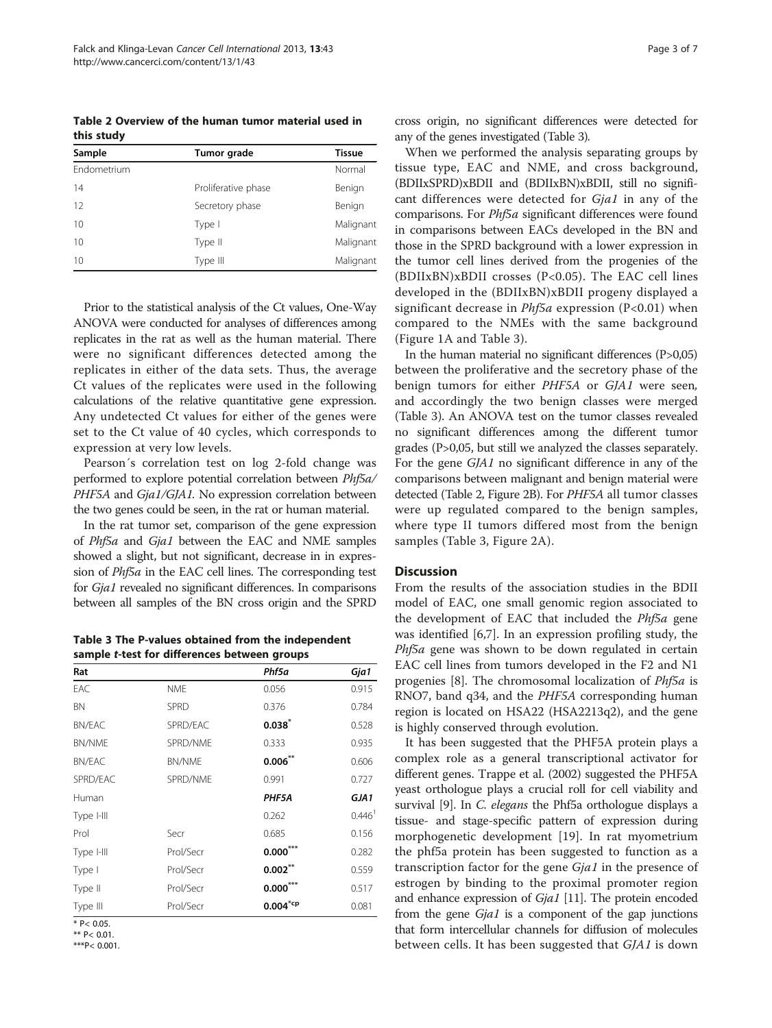<span id="page-2-0"></span>Table 2 Overview of the human tumor material used in this study

| Sample      | Tumor grade         | <b>Tissue</b> |
|-------------|---------------------|---------------|
| Endometrium |                     | Normal        |
| 14          | Proliferative phase | Benign        |
| 12          | Secretory phase     | Benign        |
| 10          | Type I              | Malignant     |
| 10          | Type II             | Malignant     |
| 10          | Type III            | Malignant     |

Prior to the statistical analysis of the Ct values, One-Way ANOVA were conducted for analyses of differences among replicates in the rat as well as the human material. There were no significant differences detected among the replicates in either of the data sets. Thus, the average Ct values of the replicates were used in the following calculations of the relative quantitative gene expression. Any undetected Ct values for either of the genes were set to the Ct value of 40 cycles, which corresponds to expression at very low levels.

Pearson´s correlation test on log 2-fold change was performed to explore potential correlation between Phf5a/ PHF5A and Gja1/GJA1. No expression correlation between the two genes could be seen, in the rat or human material.

In the rat tumor set, comparison of the gene expression of Phf5a and Gja1 between the EAC and NME samples showed a slight, but not significant, decrease in in expression of *Phf5a* in the EAC cell lines. The corresponding test for Gja1 revealed no significant differences. In comparisons between all samples of the BN cross origin and the SPRD

Table 3 The P-values obtained from the independent sample t-test for differences between groups

| Rat           |             | Phf5a                  | Gja1                 |
|---------------|-------------|------------------------|----------------------|
| EAC           | <b>NME</b>  | 0.056                  | 0.915                |
| <b>BN</b>     | <b>SPRD</b> | 0.376                  | 0.784                |
| <b>BN/EAC</b> | SPRD/EAC    | $0.038^{*}$            | 0.528                |
| <b>BN/NME</b> | SPRD/NME    | 0.333                  | 0.935                |
| BN/EAC        | BN/NME      | $0.006$ **             | 0.606                |
| SPRD/EAC      | SPRD/NME    | 0.991                  | 0.727                |
| Human         |             | PHF5A                  | GJA1                 |
| Type I-III    |             | 0.262                  | $0.446$ <sup>1</sup> |
| Prol          | Secr        | 0.685                  | 0.156                |
| Type I-III    | Prol/Secr   | $0.000^{\circ}$        | 0.282                |
| Type I        | Prol/Secr   | $0.002***$             | 0.559                |
| Type II       | Prol/Secr   | $0.000***$             | 0.517                |
| Type III      | Prol/Secr   | $0.004$ <sup>*cp</sup> | 0.081                |

 $*$  P< 0.05.

\*\* P< 0.01.

\*\*\*P< 0.001.

cross origin, no significant differences were detected for any of the genes investigated (Table 3).

When we performed the analysis separating groups by tissue type, EAC and NME, and cross background, (BDIIxSPRD)xBDII and (BDIIxBN)xBDII, still no significant differences were detected for Gja1 in any of the comparisons. For *Phf5a* significant differences were found in comparisons between EACs developed in the BN and those in the SPRD background with a lower expression in the tumor cell lines derived from the progenies of the (BDIIxBN)xBDII crosses (P<0.05). The EAC cell lines developed in the (BDIIxBN)xBDII progeny displayed a significant decrease in  $Phf5a$  expression (P<0.01) when compared to the NMEs with the same background (Figure [1A](#page-3-0) and Table 3).

In the human material no significant differences (P>0,05) between the proliferative and the secretory phase of the benign tumors for either PHF5A or GJA1 were seen, and accordingly the two benign classes were merged (Table 3). An ANOVA test on the tumor classes revealed no significant differences among the different tumor grades (P>0,05, but still we analyzed the classes separately. For the gene GJA1 no significant difference in any of the comparisons between malignant and benign material were detected (Table 2, Figure [2](#page-3-0)B). For PHF5A all tumor classes were up regulated compared to the benign samples, where type II tumors differed most from the benign samples (Table 3, Figure [2A](#page-3-0)).

# **Discussion**

From the results of the association studies in the BDII model of EAC, one small genomic region associated to the development of EAC that included the Phf5a gene was identified [\[6,7\]](#page-5-0). In an expression profiling study, the Phf5a gene was shown to be down regulated in certain EAC cell lines from tumors developed in the F2 and N1 progenies [[8\]](#page-5-0). The chromosomal localization of Phf5a is RNO7, band q34, and the PHF5A corresponding human region is located on HSA22 (HSA2213q2), and the gene is highly conserved through evolution.

It has been suggested that the PHF5A protein plays a complex role as a general transcriptional activator for different genes. Trappe et al. (2002) suggested the PHF5A yeast orthologue plays a crucial roll for cell viability and survival [\[9\]](#page-5-0). In *C. elegans* the Phf5a orthologue displays a tissue- and stage-specific pattern of expression during morphogenetic development [\[19](#page-6-0)]. In rat myometrium the phf5a protein has been suggested to function as a transcription factor for the gene Gja1 in the presence of estrogen by binding to the proximal promoter region and enhance expression of *Gja1* [\[11](#page-5-0)]. The protein encoded from the gene Gja1 is a component of the gap junctions that form intercellular channels for diffusion of molecules between cells. It has been suggested that GJA1 is down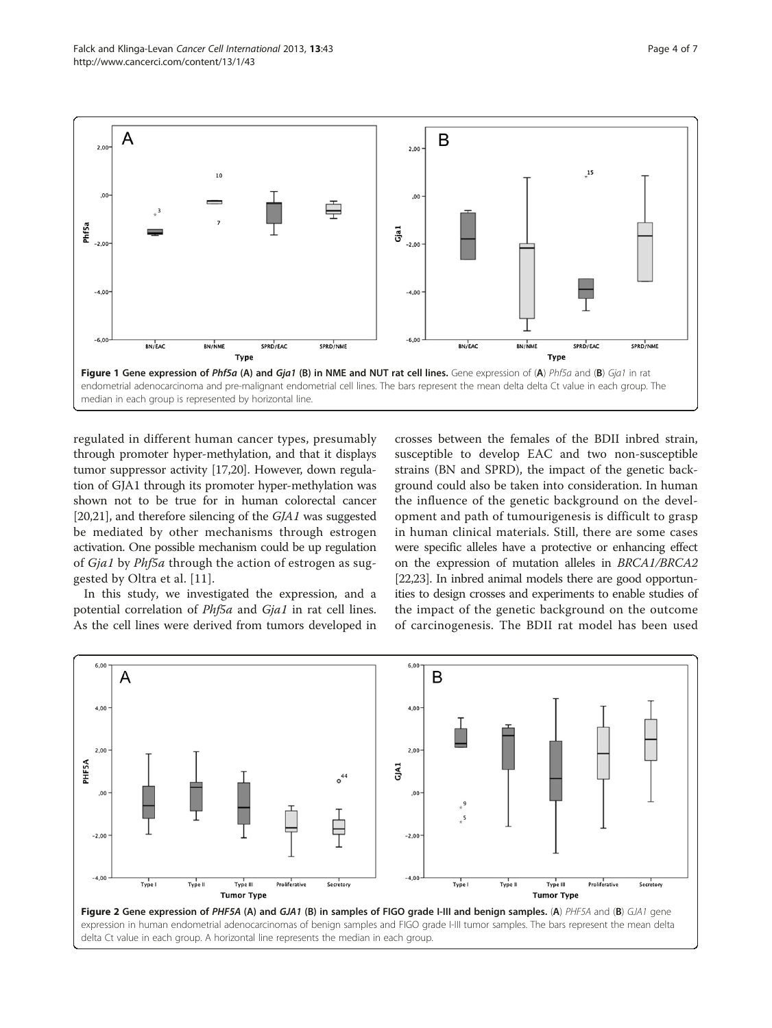<span id="page-3-0"></span>

regulated in different human cancer types, presumably through promoter hyper-methylation, and that it displays tumor suppressor activity [\[17,20\]](#page-6-0). However, down regulation of GJA1 through its promoter hyper-methylation was shown not to be true for in human colorectal cancer [[20,21](#page-6-0)], and therefore silencing of the GJA1 was suggested be mediated by other mechanisms through estrogen activation. One possible mechanism could be up regulation of Gja1 by Phf5a through the action of estrogen as suggested by Oltra et al. [[11](#page-5-0)].

In this study, we investigated the expression, and a potential correlation of *Phf5a* and *Gja1* in rat cell lines. As the cell lines were derived from tumors developed in crosses between the females of the BDII inbred strain, susceptible to develop EAC and two non-susceptible strains (BN and SPRD), the impact of the genetic background could also be taken into consideration. In human the influence of the genetic background on the development and path of tumourigenesis is difficult to grasp in human clinical materials. Still, there are some cases were specific alleles have a protective or enhancing effect on the expression of mutation alleles in BRCA1/BRCA2 [[22,23\]](#page-6-0). In inbred animal models there are good opportunities to design crosses and experiments to enable studies of the impact of the genetic background on the outcome of carcinogenesis. The BDII rat model has been used

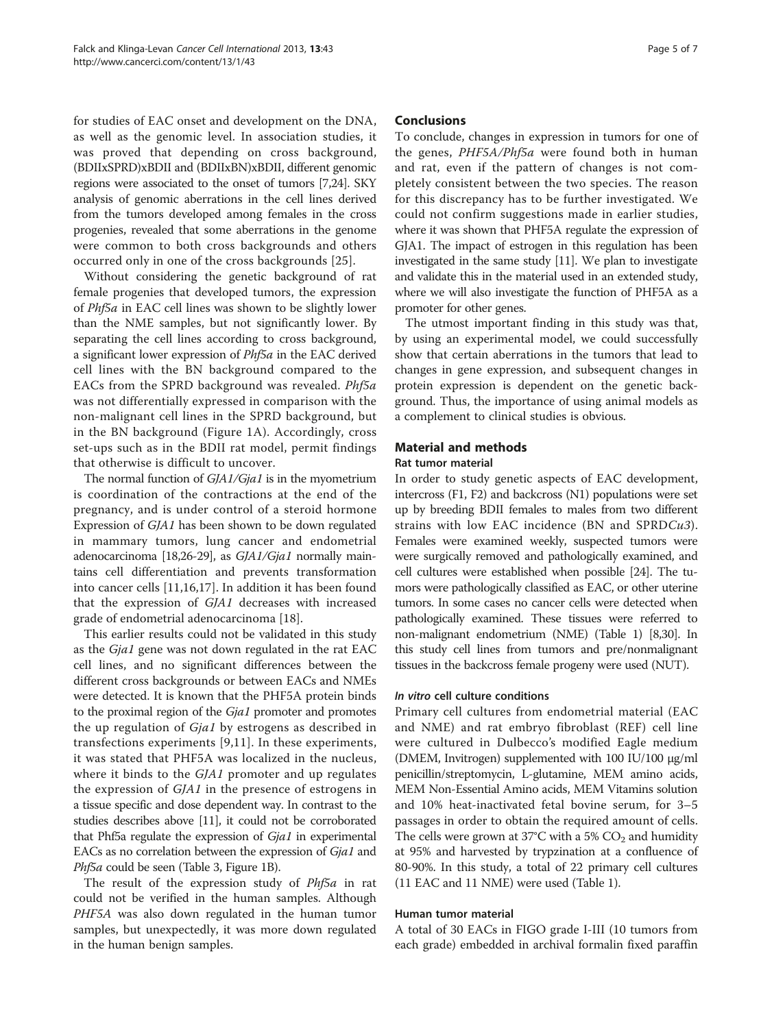for studies of EAC onset and development on the DNA, as well as the genomic level. In association studies, it was proved that depending on cross background, (BDIIxSPRD)xBDII and (BDIIxBN)xBDII, different genomic regions were associated to the onset of tumors [\[7,](#page-5-0)[24](#page-6-0)]. SKY analysis of genomic aberrations in the cell lines derived from the tumors developed among females in the cross progenies, revealed that some aberrations in the genome were common to both cross backgrounds and others occurred only in one of the cross backgrounds [[25\]](#page-6-0).

Without considering the genetic background of rat female progenies that developed tumors, the expression of Phf5a in EAC cell lines was shown to be slightly lower than the NME samples, but not significantly lower. By separating the cell lines according to cross background, a significant lower expression of Phf5a in the EAC derived cell lines with the BN background compared to the EACs from the SPRD background was revealed. Phf5a was not differentially expressed in comparison with the non-malignant cell lines in the SPRD background, but in the BN background (Figure [1](#page-3-0)A). Accordingly, cross set-ups such as in the BDII rat model, permit findings that otherwise is difficult to uncover.

The normal function of GJA1/Gja1 is in the myometrium is coordination of the contractions at the end of the pregnancy, and is under control of a steroid hormone Expression of GJA1 has been shown to be down regulated in mammary tumors, lung cancer and endometrial adenocarcinoma [[18,26-29](#page-6-0)], as GJA1/Gja1 normally maintains cell differentiation and prevents transformation into cancer cells [\[11](#page-5-0)[,16,17](#page-6-0)]. In addition it has been found that the expression of GJA1 decreases with increased grade of endometrial adenocarcinoma [[18\]](#page-6-0).

This earlier results could not be validated in this study as the Gja1 gene was not down regulated in the rat EAC cell lines, and no significant differences between the different cross backgrounds or between EACs and NMEs were detected. It is known that the PHF5A protein binds to the proximal region of the Gja1 promoter and promotes the up regulation of Gja1 by estrogens as described in transfections experiments [[9,11](#page-5-0)]. In these experiments, it was stated that PHF5A was localized in the nucleus, where it binds to the GJA1 promoter and up regulates the expression of GJA1 in the presence of estrogens in a tissue specific and dose dependent way. In contrast to the studies describes above [\[11\]](#page-5-0), it could not be corroborated that Phf5a regulate the expression of  $Gja1$  in experimental EACs as no correlation between the expression of Gja1 and Phf5a could be seen (Table [3](#page-2-0), Figure [1B](#page-3-0)).

The result of the expression study of *Phf5a* in rat could not be verified in the human samples. Although PHF5A was also down regulated in the human tumor samples, but unexpectedly, it was more down regulated in the human benign samples.

# **Conclusions**

To conclude, changes in expression in tumors for one of the genes, PHF5A/Phf5a were found both in human and rat, even if the pattern of changes is not completely consistent between the two species. The reason for this discrepancy has to be further investigated. We could not confirm suggestions made in earlier studies, where it was shown that PHF5A regulate the expression of GJA1. The impact of estrogen in this regulation has been investigated in the same study [\[11\]](#page-5-0). We plan to investigate and validate this in the material used in an extended study, where we will also investigate the function of PHF5A as a promoter for other genes.

The utmost important finding in this study was that, by using an experimental model, we could successfully show that certain aberrations in the tumors that lead to changes in gene expression, and subsequent changes in protein expression is dependent on the genetic background. Thus, the importance of using animal models as a complement to clinical studies is obvious.

# Material and methods

# Rat tumor material

In order to study genetic aspects of EAC development, intercross (F1, F2) and backcross (N1) populations were set up by breeding BDII females to males from two different strains with low EAC incidence (BN and SPRDCu3). Females were examined weekly, suspected tumors were were surgically removed and pathologically examined, and cell cultures were established when possible [\[24\]](#page-6-0). The tumors were pathologically classified as EAC, or other uterine tumors. In some cases no cancer cells were detected when pathologically examined. These tissues were referred to non-malignant endometrium (NME) (Table [1\)](#page-1-0) [\[8,](#page-5-0)[30](#page-6-0)]. In this study cell lines from tumors and pre/nonmalignant tissues in the backcross female progeny were used (NUT).

# In vitro cell culture conditions

Primary cell cultures from endometrial material (EAC and NME) and rat embryo fibroblast (REF) cell line were cultured in Dulbecco's modified Eagle medium (DMEM, Invitrogen) supplemented with 100 IU/100 μg/ml penicillin/streptomycin, L-glutamine, MEM amino acids, MEM Non-Essential Amino acids, MEM Vitamins solution and 10% heat-inactivated fetal bovine serum, for 3–5 passages in order to obtain the required amount of cells. The cells were grown at 37°C with a 5%  $CO<sub>2</sub>$  and humidity at 95% and harvested by trypzination at a confluence of 80-90%. In this study, a total of 22 primary cell cultures (11 EAC and 11 NME) were used (Table [1\)](#page-1-0).

# Human tumor material

A total of 30 EACs in FIGO grade I-III (10 tumors from each grade) embedded in archival formalin fixed paraffin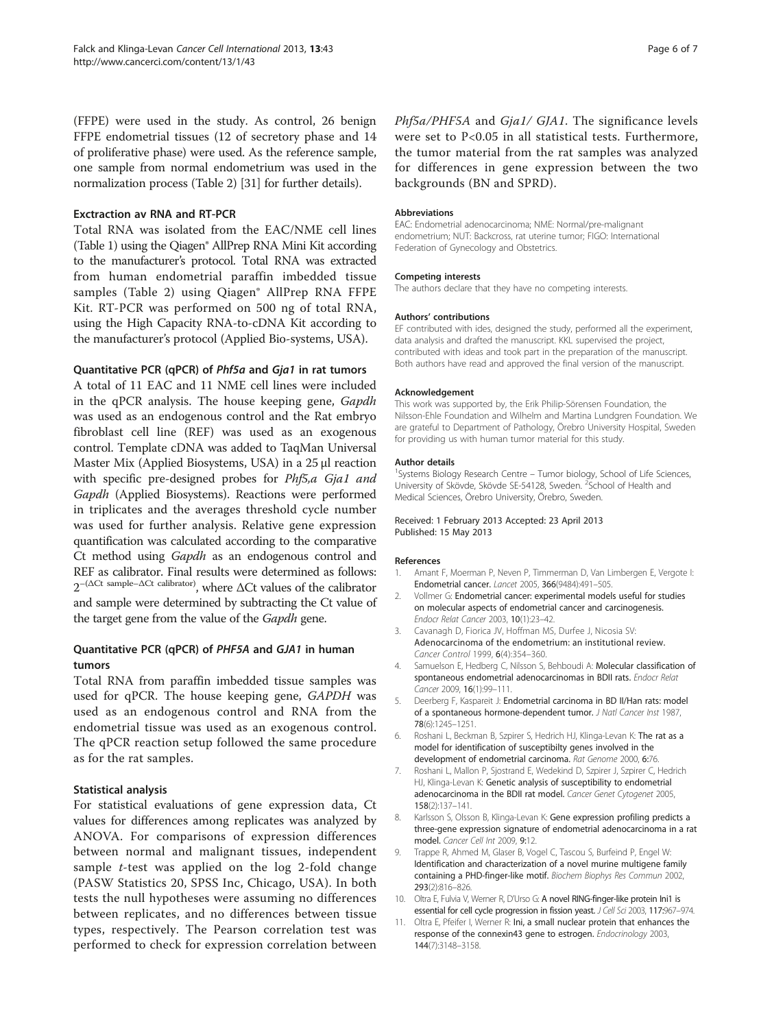<span id="page-5-0"></span>(FFPE) were used in the study. As control, 26 benign FFPE endometrial tissues (12 of secretory phase and 14 of proliferative phase) were used. As the reference sample, one sample from normal endometrium was used in the normalization process (Table [2\)](#page-2-0) [[31](#page-6-0)] for further details).

# Exctraction av RNA and RT-PCR

Total RNA was isolated from the EAC/NME cell lines (Table [1\)](#page-1-0) using the Qiagen® AllPrep RNA Mini Kit according to the manufacturer's protocol. Total RNA was extracted from human endometrial paraffin imbedded tissue samples (Table [2\)](#page-2-0) using Qiagen® AllPrep RNA FFPE Kit. RT-PCR was performed on 500 ng of total RNA, using the High Capacity RNA-to-cDNA Kit according to the manufacturer's protocol (Applied Bio-systems, USA).

# Quantitative PCR (qPCR) of Phf5a and Gja1 in rat tumors

A total of 11 EAC and 11 NME cell lines were included in the qPCR analysis. The house keeping gene, Gapdh was used as an endogenous control and the Rat embryo fibroblast cell line (REF) was used as an exogenous control. Template cDNA was added to TaqMan Universal Master Mix (Applied Biosystems, USA) in a 25 μl reaction with specific pre-designed probes for Phf5,a Gja1 and Gapdh (Applied Biosystems). Reactions were performed in triplicates and the averages threshold cycle number was used for further analysis. Relative gene expression quantification was calculated according to the comparative Ct method using Gapdh as an endogenous control and REF as calibrator. Final results were determined as follows:  $2^{-(\Delta Ct \text{ sample}-\Delta Ct \text{ calibrate})}$ , where  $\Delta Ct$  values of the calibrator and sample were determined by subtracting the Ct value of the target gene from the value of the Gapdh gene.

# Quantitative PCR (qPCR) of PHF5A and GJA1 in human tumors

Total RNA from paraffin imbedded tissue samples was used for qPCR. The house keeping gene, GAPDH was used as an endogenous control and RNA from the endometrial tissue was used as an exogenous control. The qPCR reaction setup followed the same procedure as for the rat samples.

# Statistical analysis

For statistical evaluations of gene expression data, Ct values for differences among replicates was analyzed by ANOVA. For comparisons of expression differences between normal and malignant tissues, independent sample  $t$ -test was applied on the log 2-fold change (PASW Statistics 20, SPSS Inc, Chicago, USA). In both tests the null hypotheses were assuming no differences between replicates, and no differences between tissue types, respectively. The Pearson correlation test was performed to check for expression correlation between Phf5a/PHF5A and Gja1/ GJA1. The significance levels were set to P<0.05 in all statistical tests. Furthermore, the tumor material from the rat samples was analyzed for differences in gene expression between the two backgrounds (BN and SPRD).

## Abbreviations

EAC: Endometrial adenocarcinoma; NME: Normal/pre-malignant endometrium; NUT: Backcross, rat uterine tumor; FIGO: International Federation of Gynecology and Obstetrics.

#### Competing interests

The authors declare that they have no competing interests.

#### Authors' contributions

EF contributed with ides, designed the study, performed all the experiment, data analysis and drafted the manuscript. KKL supervised the project, contributed with ideas and took part in the preparation of the manuscript. Both authors have read and approved the final version of the manuscript.

#### Acknowledgement

This work was supported by, the Erik Philip-Sörensen Foundation, the Nilsson-Ehle Foundation and Wilhelm and Martina Lundgren Foundation. We are grateful to Department of Pathology, Örebro University Hospital, Sweden for providing us with human tumor material for this study.

#### Author details

<sup>1</sup>Systems Biology Research Centre - Tumor biology, School of Life Sciences University of Skövde, Skövde SE-54128, Sweden. <sup>2</sup>School of Health and Medical Sciences, Örebro University, Örebro, Sweden.

### Received: 1 February 2013 Accepted: 23 April 2013 Published: 15 May 2013

#### References

- 1. Amant F, Moerman P, Neven P, Timmerman D, Van Limbergen E, Vergote I: Endometrial cancer. Lancet 2005, 366(9484):491–505.
- 2. Vollmer G: Endometrial cancer: experimental models useful for studies on molecular aspects of endometrial cancer and carcinogenesis. Endocr Relat Cancer 2003, 10(1):23–42.
- 3. Cavanagh D, Fiorica JV, Hoffman MS, Durfee J, Nicosia SV: Adenocarcinoma of the endometrium: an institutional review. Cancer Control 1999, 6(4):354–360.
- 4. Samuelson E, Hedberg C, Nilsson S, Behboudi A: Molecular classification of spontaneous endometrial adenocarcinomas in BDII rats. Endocr Relat Cancer 2009, 16(1):99–111.
- 5. Deerberg F, Kaspareit J: Endometrial carcinoma in BD II/Han rats: model of a spontaneous hormone-dependent tumor. J Natl Cancer Inst 1987, 78(6):1245–1251.
- 6. Roshani L, Beckman B, Szpirer S, Hedrich HJ, Klinga-Levan K: The rat as a model for identification of susceptibilty genes involved in the development of endometrial carcinoma. Rat Genome 2000, 6:76.
- 7. Roshani L, Mallon P, Sjostrand E, Wedekind D, Szpirer J, Szpirer C, Hedrich HJ, Klinga-Levan K: Genetic analysis of susceptibility to endometrial adenocarcinoma in the BDII rat model. Cancer Genet Cytogenet 2005, 158(2):137–141.
- 8. Karlsson S, Olsson B, Klinga-Levan K: Gene expression profiling predicts a three-gene expression signature of endometrial adenocarcinoma in a rat model. Cancer Cell Int 2009, 9:12.
- Trappe R, Ahmed M, Glaser B, Vogel C, Tascou S, Burfeind P, Engel W: Identification and characterization of a novel murine multigene family containing a PHD-finger-like motif. Biochem Biophys Res Commun 2002, 293(2):816–826.
- 10. Oltra E, Fulvia V, Werner R, D'Urso G: A novel RING-finger-like protein Ini1 is essential for cell cycle progression in fission yeast. J Cell Sci 2003, 117:967–974.
- 11. Oltra E, Pfeifer I, Werner R: Ini, a small nuclear protein that enhances the response of the connexin43 gene to estrogen. Endocrinology 2003, 144(7):3148–3158.